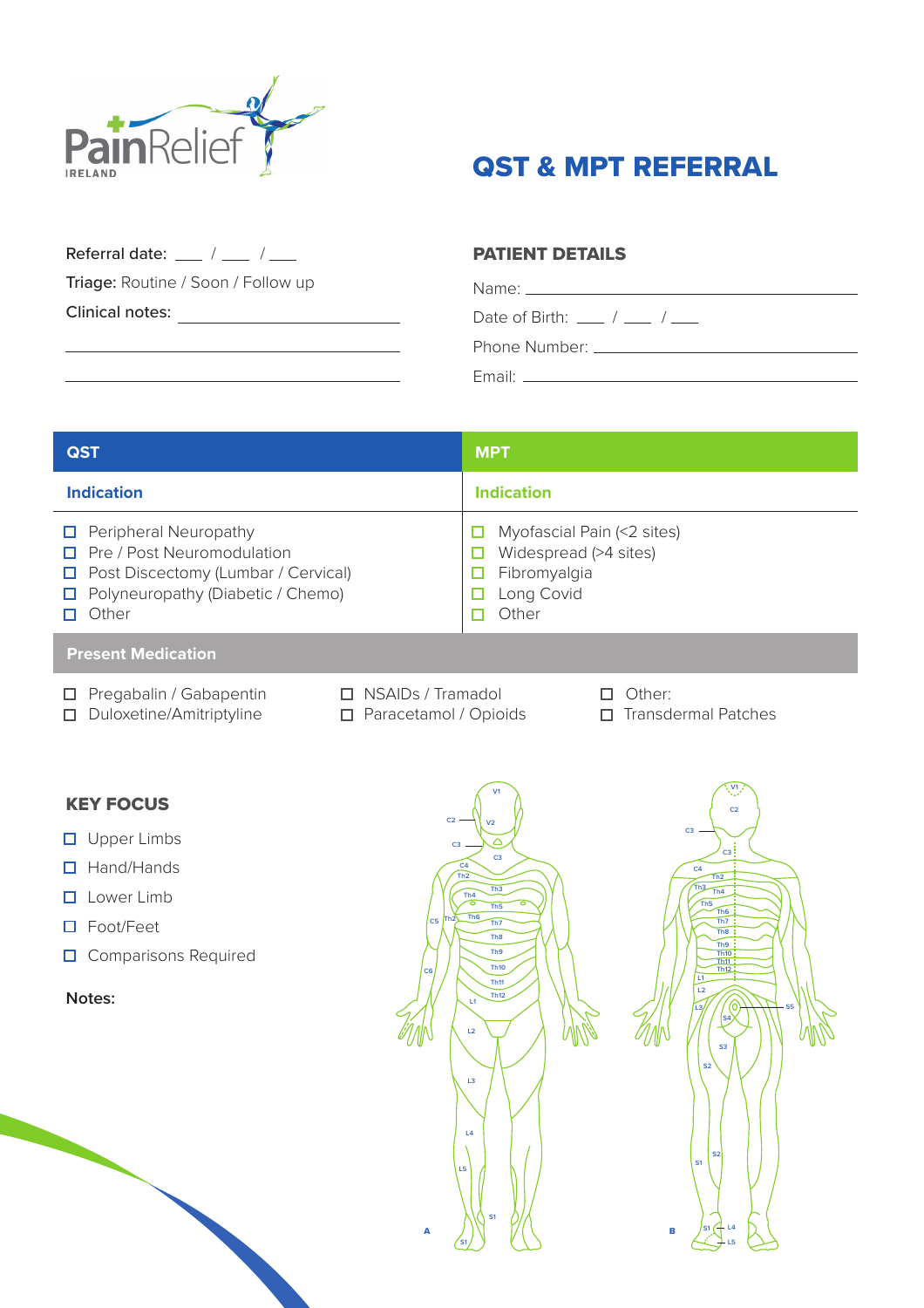

## QST & MPT REFERRAL

Referral date:  $\frac{1}{2}$  /  $\frac{1}{2}$  /  $\frac{1}{2}$ 

Triage: Routine / Soon / Follow up

Clinical notes:

## PATIENT DETAILS

Name: Date of Birth:  $\frac{1}{2}$  /  $\frac{1}{2}$ Phone Number: Email:

| <b>QST</b>                                                                                                                                                                  | <b>MPT</b>                                                                                 |  |  |  |
|-----------------------------------------------------------------------------------------------------------------------------------------------------------------------------|--------------------------------------------------------------------------------------------|--|--|--|
| <b>Indication</b>                                                                                                                                                           | <b>Indication</b>                                                                          |  |  |  |
| $\Box$ Peripheral Neuropathy<br>$\Box$ Pre / Post Neuromodulation<br>$\Box$ Post Discectomy (Lumbar / Cervical)<br>$\Box$ Polyneuropathy (Diabetic / Chemo)<br>$\Box$ Other | Myofascial Pain (<2 sites)<br>Widespread (>4 sites)<br>Fibromyalgia<br>Long Covid<br>Other |  |  |  |
| <b>Present Medication</b>                                                                                                                                                   |                                                                                            |  |  |  |

- 
- 
- Pregabalin / Gabapentin  $\Box$  NSAIDs / Tramadol  $\Box$  Other:
	- Duloxetine/Amitriptyline  $\square$  Paracetamol / Opioids  $\square$  Transdermal Patches
- 
- 

## KEY FOCUS

- **O** Upper Limbs
- □ Hand/Hands
- $\square$  Lower Limb
- Foot/Feet
- **O** Comparisons Required

**Notes:**